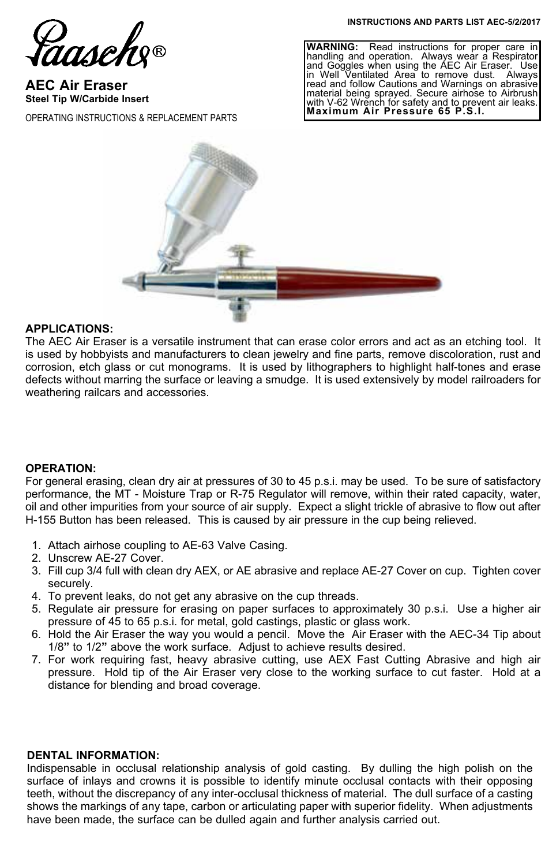**INSTRUCTIONS AND PARTS LIST AEC-5/2/2017**

Saasch

**AEC Air Eraser Steel Tip W/Carbide Insert**

OPERATING INSTRUCTIONS & REPLACEMENT PARTS

**WARNING:** Read instructions for proper care in handling and operation. Always wear a Respirator and Goggles when using the AEC Air Eraser. Use in Well Ventilated Area to remove dust. Always read and follow Cautions and Warnings on abrasive material being sprayed. Secure airhose to Airbrush with V-62 Wrench for safety and to prevent air leaks. **Maximum Air Pressure 65 P.S.I.**



### **APPLICATIONS:**

The AEC Air Eraser is a versatile instrument that can erase color errors and act as an etching tool. It is used by hobbyists and manufacturers to clean jewelry and fine parts, remove discoloration, rust and corrosion, etch glass or cut monograms. It is used by lithographers to highlight half-tones and erase defects without marring the surface or leaving a smudge. It is used extensively by model railroaders for weathering railcars and accessories.

#### **OPERATION:**

For general erasing, clean dry air at pressures of 30 to 45 p.s.i. may be used. To be sure of satisfactory performance, the MT - Moisture Trap or R-75 Regulator will remove, within their rated capacity, water, oil and other impurities from your source of air supply. Expect a slight trickle of abrasive to flow out after H-155 Button has been released. This is caused by air pressure in the cup being relieved.

- 1. Attach airhose coupling to AE-63 Valve Casing.
- 2. Unscrew AE-27 Cover.
- 3. Fill cup 3/4 full with clean dry AEX, or AE abrasive and replace AE-27 Cover on cup. Tighten cover securely.
- 4. To prevent leaks, do not get any abrasive on the cup threads.
- 5. Regulate air pressure for erasing on paper surfaces to approximately 30 p.s.i. Use a higher air pressure of 45 to 65 p.s.i. for metal, gold castings, plastic or glass work.
- 6. Hold the Air Eraser the way you would a pencil. Move the Air Eraser with the AEC-34 Tip about 1/8**"** to 1/2**"** above the work surface. Adjust to achieve results desired.
- 7. For work requiring fast, heavy abrasive cutting, use AEX Fast Cutting Abrasive and high air pressure. Hold tip of the Air Eraser very close to the working surface to cut faster. Hold at a distance for blending and broad coverage.

#### **DENTAL INFORMATION:**

Indispensable in occlusal relationship analysis of gold casting. By dulling the high polish on the surface of inlays and crowns it is possible to identify minute occlusal contacts with their opposing teeth, without the discrepancy of any inter-occlusal thickness of material. The dull surface of a casting shows the markings of any tape, carbon or articulating paper with superior fidelity. When adjustments have been made, the surface can be dulled again and further analysis carried out.